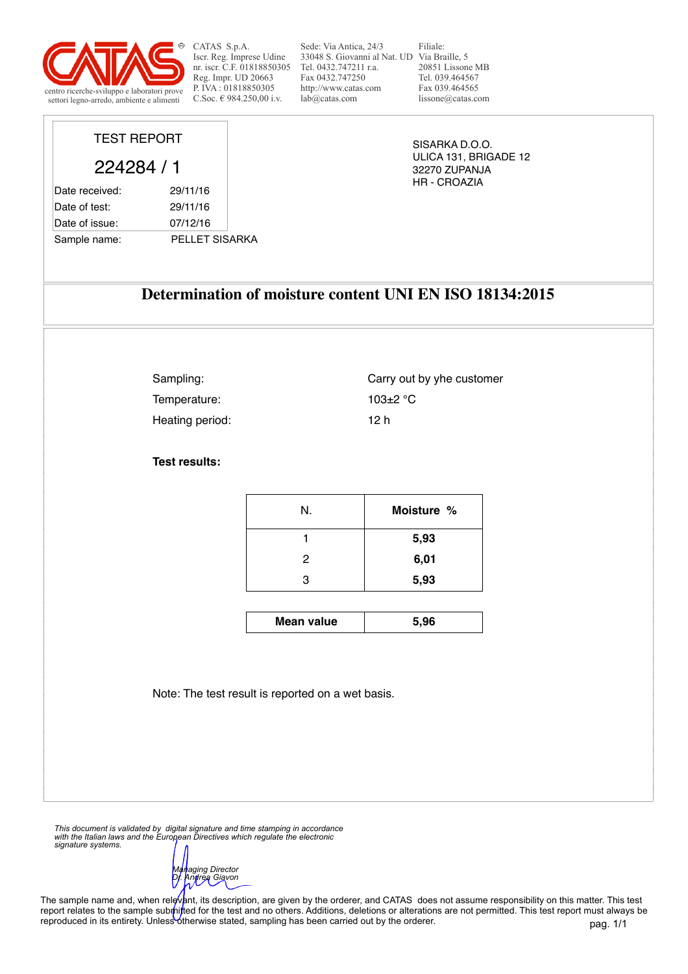

TEST REPORT

224284 / 1

Date received: 29/11/16 Date of test: 29/11/16 Date of issue: 07/12/16

Sample name: PELLET SISARKA

CATAS S.p.A. Iscr. Reg. Imprese Udine nr. iscr. C.F. 01818850305 Reg. Impr. UD 20663 P. IVA : 01818850305<br>C.Soc.  $\in$  984.250.00 i.v.

Sede: Via Antica, 24/3 33048 S. Giovanni al Nat. UD Via Braille, 5 Tel. 0432.747211 r.a. Fax 0432.747250 http://www.catas.com lab@catas.com

Filiale: 20851 Lissone MB Tel. 039.464567 Fax 039.464565 lissone@catas.com

SISARKA D.O.O. ULICA 131, BRIGADE 12 32270 ZUPANJA HR - CROAZIA

## **Determination of moisture content UNI EN ISO 18134:2015**

Sampling: Temperature: 103±2 °C Heating period: 12 h

Carry out by yhe customer

**Test results:**

| N.                | Moisture % |
|-------------------|------------|
|                   | 5,93       |
| - 2<br>$\epsilon$ | 6,01       |
| റ<br>ີບ           | 5,93       |

**Mean value**  $\vert$  5,96

Note: The test result is reported on a wet basis.

*This document is validated by digital signature and time stamping in accordance with the Italian laws and the European Directives which regulate the electronic signature systems.* 

*Managing Director Dr. Andrea Giavon* 

The sample name and, when relevant, its description, are given by the orderer, and CATAS does not assume responsibility on this matter. This test report relates to the sample submitted for the test and no others. Additions, deletions or alterations are not permitted. This test report must always be reproduced in its entirety. Unless otherwise stated, sampling has been carried out by the orderer.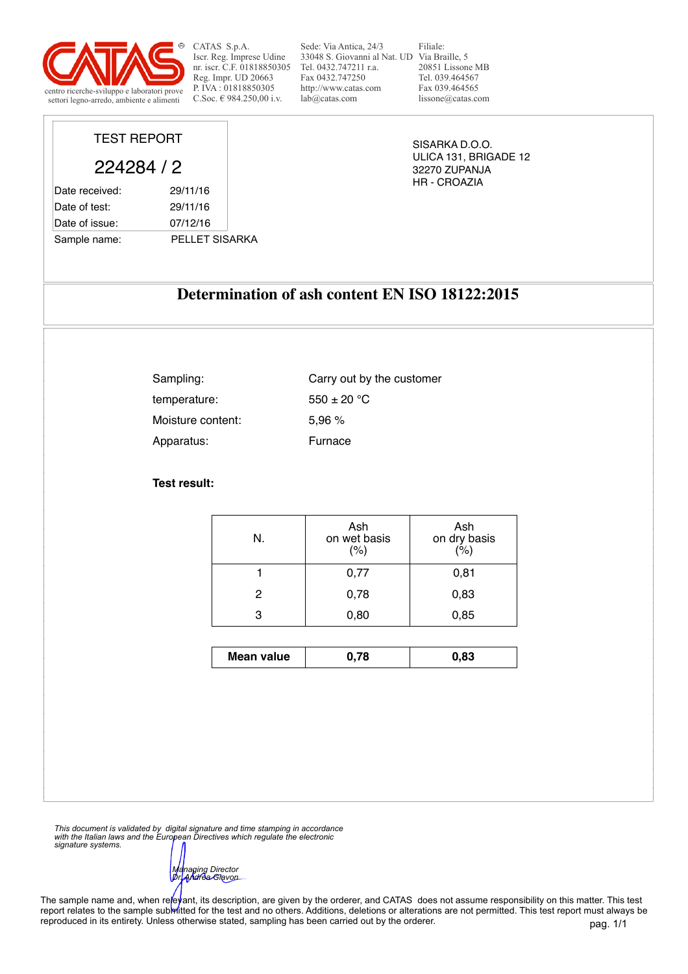

TEST REPORT

224284 / 2

Sample name: PELLET SISARKA

Date received: 29/11/16 Date of test: 29/11/16 Date of issue: 07/12/16

CATAS S.p.A. Iscr. Reg. Imprese Udine nr. iscr. C.F. 01818850305 Reg. Impr. UD 20663 P. IVA : 01818850305<br>C.Soc.  $\in$  984.250.00 i.v.

Sede: Via Antica, 24/3 33048 S. Giovanni al Nat. UD Via Braille, 5 Tel. 0432.747211 r.a. Fax 0432.747250 http://www.catas.com  $lab@catas.com$ 

Filiale: 20851 Lissone MB Tel. 039.464567 Fax 039.464565 lissone@catas.com

SISARKA D.O.O. ULICA 131, BRIGADE 12 32270 ZUPANJA HR - CROAZIA

## **Determination of ash content EN ISO 18122:2015**

| Sampling:         | Carry out by the customer |
|-------------------|---------------------------|
| temperature:      | $550 \pm 20$ °C           |
| Moisture content: | 5.96%                     |
| Apparatus:        | Furnace                   |

**Test result:**

| N. | Ash<br>on wet basis<br>$(\% )$ | Ash<br>on dry basis<br>(%) |
|----|--------------------------------|----------------------------|
|    | 0,77                           | 0,81                       |
|    | 0,78                           | 0,83                       |
|    | 0,80                           | 0,85                       |

| Mean value | .83 |
|------------|-----|
|            |     |

*This document is validated by digital signature and time stamping in accordance with the Italian laws and the European Directives which regulate the electronic signature systems.* 

*Managing Director Dr. Andrea Giavon* 

The sample name and, when re/eyant, its description, are given by the orderer, and CATAS does not assume responsibility on this matter. This test report relates to the sample submitted for the test and no others. Additions, deletions or alterations are not permitted. This test report must always be reproduced in its entirety. Unless otherwise stated, sampling has been carried out by the orderer.